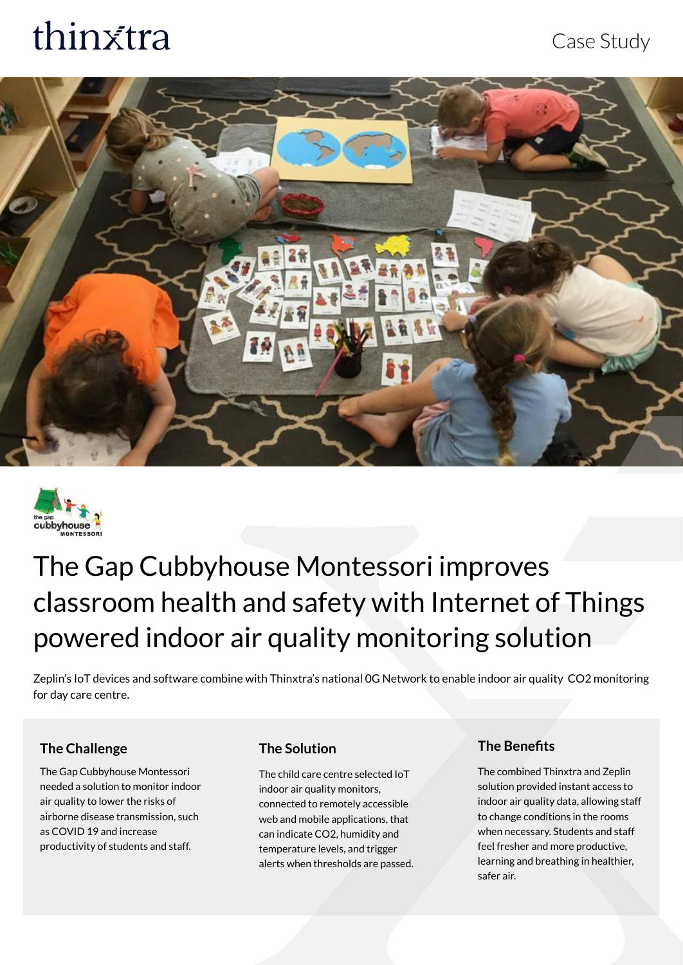# thinxtra

## Case Study





## The Gap Cubbyhouse Montessori improves classroom health and safety with Internet of Things powered indoor air quality monitoring solution

Zeplin's IoT devices and software combine with Thinxtra's national 0G Network to enable indoor air quality CO2 monitoring for day care centre.

### **The Challenge The Solution The Benefits**

The Gap Cubbyhouse Montessori needed a solution to monitor indoor air quality to lower the risks of airborne disease transmission, such as COVID 19 and increase productivity of students and staff.

The child care centre selected IoT indoor air quality monitors, connected to remotely accessible web and mobile applications, that can indicate CO2, humidity and temperature levels, and trigger alerts when thresholds are passed.

The combined Thinxtra and Zeplin solution provided instant access to indoor air quality data, allowing staff to change conditions in the rooms when necessary. Students and staff feel fresher and more productive, learning and breathing in healthier, safer air.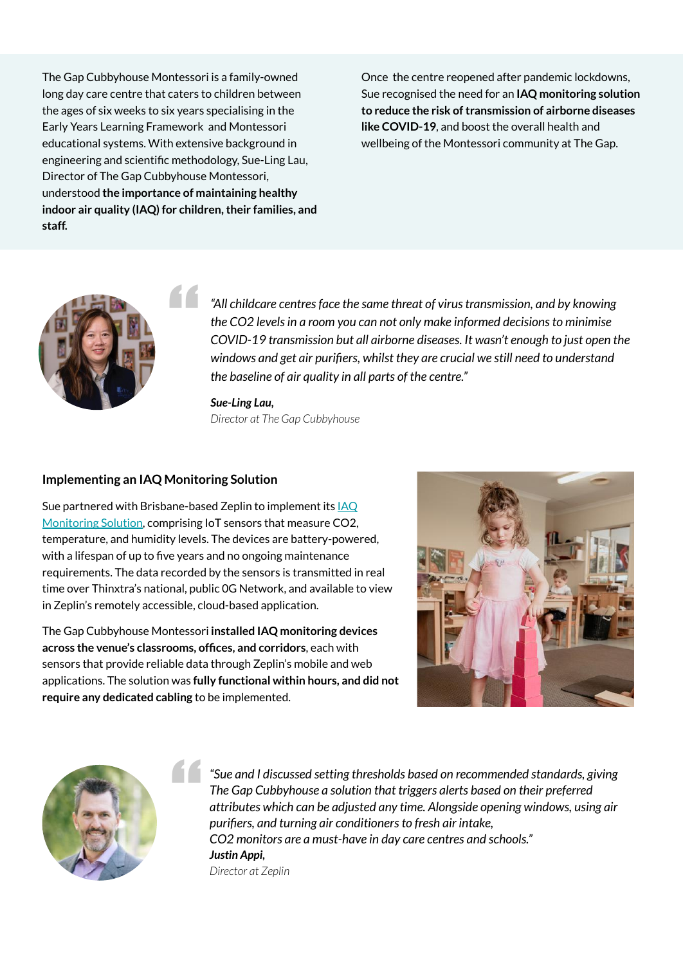The Gap Cubbyhouse Montessori is a family-owned long day care centre that caters to children between the ages of six weeks to six years specialising in the Early Years Learning Framework and Montessori educational systems. With extensive background in engineering and scientific methodology, Sue-Ling Lau, Director of The Gap Cubbyhouse Montessori, understood **the importance of maintaining healthy indoor air quality (IAQ) for children, their families, and staff.**

Once the centre reopened after pandemic lockdowns, Sue recognised the need for an **IAQ monitoring solution to reduce the risk of transmission of airborne diseases like COVID-19**, and boost the overall health and wellbeing of the Montessori community at The Gap.



*"All childcare centres face the same threat of virus transmission, and by knowing the CO2 levels in a room you can not only make informed decisions to minimise COVID-19 transmission but all airborne diseases. It wasn't enough to just open the windows and get air purifiers, whilst they are crucial we still need to understand the baseline of air quality in all parts of the centre."*

*Sue-Ling Lau, Director at The Gap Cubbyhouse*

#### **Implementing an IAQ Monitoring Solution**

Sue partnered with Brisbane-based Zeplin to implement its **IAQ** [Monitoring Solution](https://www.zeplin.com.au/indoor-air-quality), comprising IoT sensors that measure CO2, temperature, and humidity levels. The devices are battery-powered, with a lifespan of up to five years and no ongoing maintenance requirements. The data recorded by the sensors is transmitted in real time over Thinxtra's national, public 0G Network, and available to view in Zeplin's remotely accessible, cloud-based application.

The Gap Cubbyhouse Montessori **installed IAQ monitoring devices across the venue's classrooms, offices, and corridors**, each with sensors that provide reliable data through Zeplin's mobile and web applications. The solution was **fully functional within hours, and did not require any dedicated cabling** to be implemented.





*"Sue and I discussed setting thresholds based on recommended standards, giving The Gap Cubbyhouse a solution that triggers alerts based on their preferred attributes which can be adjusted any time. Alongside opening windows, using air purifiers, and turning air conditioners to fresh air intake, CO2 monitors are a must-have in day care centres and schools." Justin Appi, Director at Zeplin* "